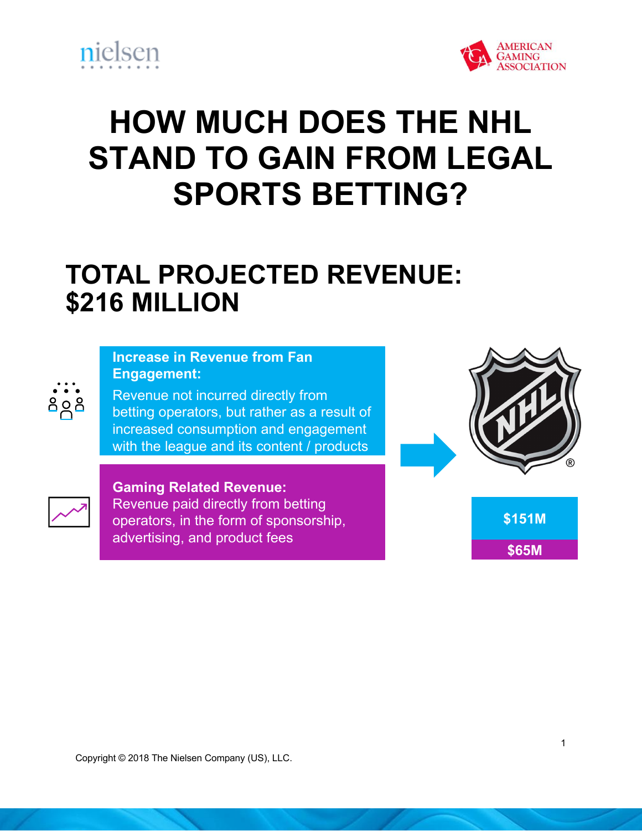



## **HOW MUCH DOES THE NHL STAND TO GAIN FROM LEGAL SPORTS BETTING?**

## **TOTAL PROJECTED REVENUE: \$216 MILLION**

## **Increase in Revenue from Fan Engagement:**

Revenue not incurred directly from betting operators, but rather as a result of increased consumption and engagement with the league and its content / products





႕ေဒ

Copyright © 2018 The Nielsen Company. Confidential and proprietary.

**Gaming Related Revenue:**  Revenue paid directly from betting operators, in the form of sponsorship, advertising, and product fees



 $\overline{1}$